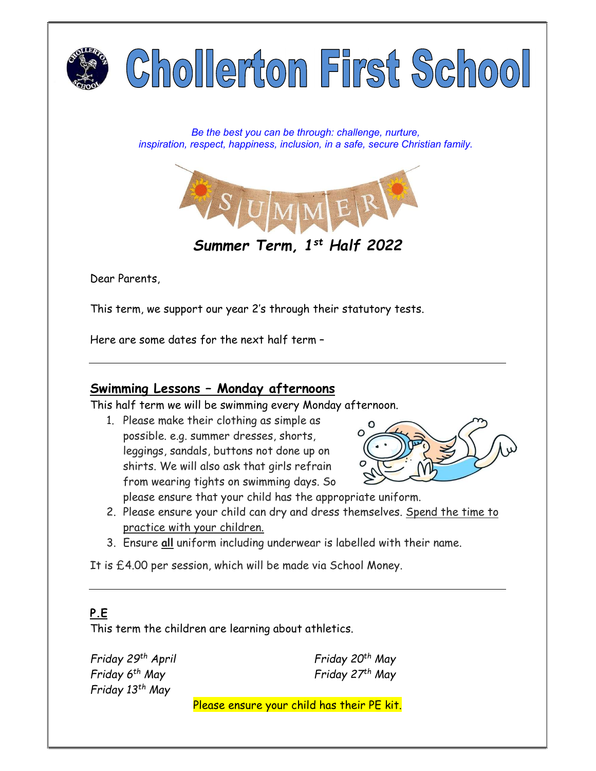

Be the best you can be through: challenge, nurture, inspiration, respect, happiness, inclusion, in a safe, secure Christian family.



Dear Parents,

This term, we support our year 2's through their statutory tests.

Here are some dates for the next half term –

#### Swimming Lessons – Monday afternoons

This half term we will be swimming every Monday afternoon.

1. Please make their clothing as simple as possible. e.g. summer dresses, shorts, leggings, sandals, buttons not done up on shirts. We will also ask that girls refrain from wearing tights on swimming days. So



please ensure that your child has the appropriate uniform.

- 2. Please ensure your child can dry and dress themselves. Spend the time to practice with your children.
- 3. Ensure all uniform including underwear is labelled with their name.

It is £4.00 per session, which will be made via School Money.

## P.E.

This term the children are learning about athletics.

Friday 29th April Friday  $6<sup>th</sup>$  May Friday 13th May

Friday 20th May Friday 27<sup>th</sup> May

Please ensure your child has their PE kit.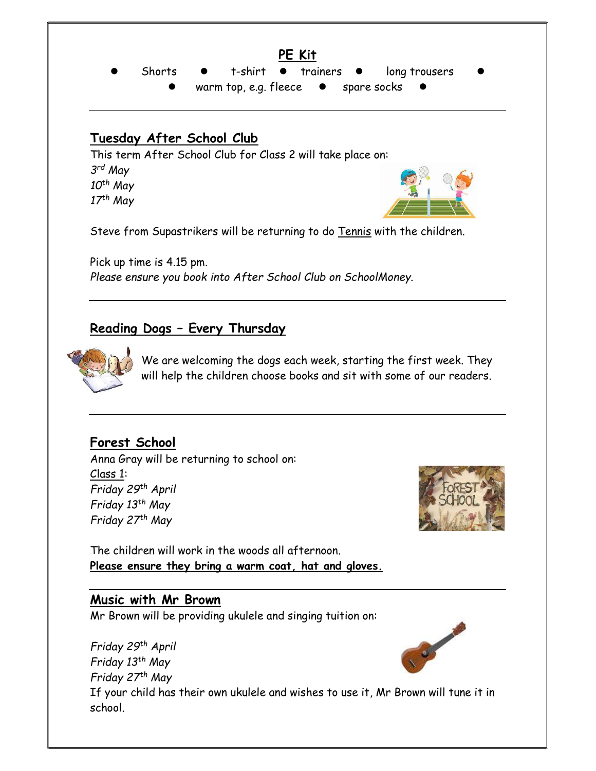PE Kit Shorts  $\bullet$  t-shirt  $\bullet$  trainers  $\bullet$  long trousers warm top, e.g. fleece  $\bullet$  spare socks

## Tuesday After School Club

This term After School Club for Class 2 will take place on: 3 rd May  $10<sup>th</sup>$  May  $17<sup>th</sup>$  May

Steve from Supastrikers will be returning to do Tennis with the children.

Pick up time is 4.15 pm. Please ensure you book into After School Club on SchoolMoney.

## Reading Dogs – Every Thursday



We are welcoming the dogs each week, starting the first week. They will help the children choose books and sit with some of our readers.

## Forest School

Anna Gray will be returning to school on: Class 1: Friday 29th April Friday 13th May Friday 27th May



The children will work in the woods all afternoon. Please ensure they bring a warm coat, hat and gloves.

#### Music with Mr Brown

Mr Brown will be providing ukulele and singing tuition on:

Friday 29th April Friday 13th May Friday 27<sup>th</sup> May If your child has their own ukulele and wishes to use it, Mr Brown will tune it in school.